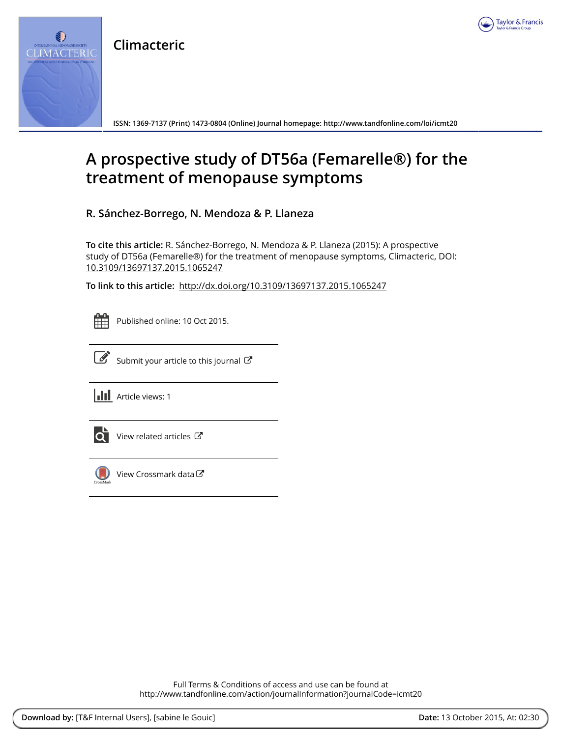

**Climacteric**



**ISSN: 1369-7137 (Print) 1473-0804 (Online) Journal homepage:<http://www.tandfonline.com/loi/icmt20>**

## **A prospective study of DT56a (Femarelle®) for the treatment of menopause symptoms**

**R. Sánchez-Borrego, N. Mendoza & P. Llaneza**

**To cite this article:** R. Sánchez-Borrego, N. Mendoza & P. Llaneza (2015): A prospective study of DT56a (Femarelle®) for the treatment of menopause symptoms, Climacteric, DOI: [10.3109/13697137.2015.1065247](http://www.tandfonline.com/action/showCitFormats?doi=10.3109/13697137.2015.1065247)

**To link to this article:** <http://dx.doi.org/10.3109/13697137.2015.1065247>



Published online: 10 Oct 2015.



 $\overline{\mathscr{L}}$  [Submit your article to this journal](http://www.tandfonline.com/action/authorSubmission?journalCode=icmt20&page=instructions)  $\mathbb{F}$ 





[View related articles](http://www.tandfonline.com/doi/mlt/10.3109/13697137.2015.1065247) C



[View Crossmark data](http://crossmark.crossref.org/dialog/?doi=10.3109/13697137.2015.1065247&domain=pdf&date_stamp=2015-10-10)

Full Terms & Conditions of access and use can be found at <http://www.tandfonline.com/action/journalInformation?journalCode=icmt20>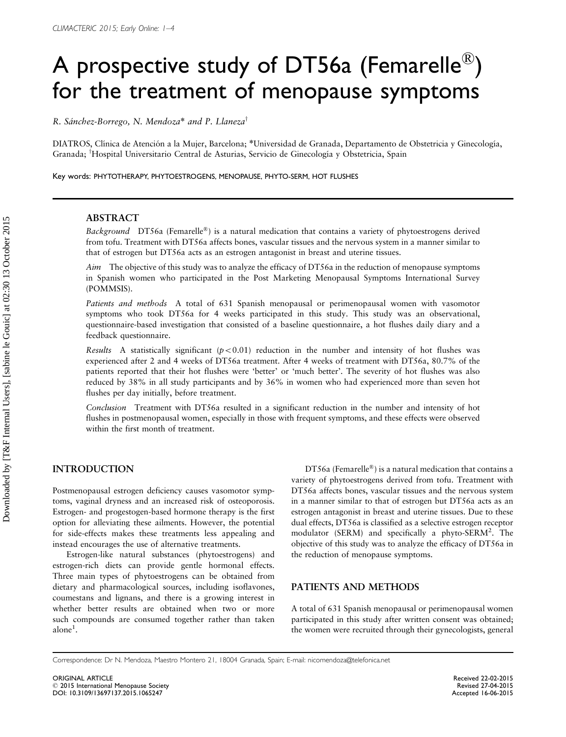# A prospective study of DT56a (Femarelle $^\circledR)$ for the treatment of menopause symptoms

R. Sánchez-Borrego, N. Mendoza\* and P. Llaneza<sup>†</sup>

DIATROS, Clínica de Atención a la Mujer, Barcelona; \*Universidad de Granada, Departamento de Obstetricia y Ginecología, Granada; <sup>†</sup>Hospital Universitario Central de Asturias, Servicio de Ginecología y Obstetricia, Spain

Key words: PHYTOTHERAPY, PHYTOESTROGENS, MENOPAUSE, PHYTO-SERM, HOT FLUSHES

#### ABSTRACT

Background DT56a (Femarelle®) is a natural medication that contains a variety of phytoestrogens derived from tofu. Treatment with DT56a affects bones, vascular tissues and the nervous system in a manner similar to that of estrogen but DT56a acts as an estrogen antagonist in breast and uterine tissues.

Aim The objective of this study was to analyze the efficacy of DT56a in the reduction of menopause symptoms in Spanish women who participated in the Post Marketing Menopausal Symptoms International Survey (POMMSIS).

Patients and methods A total of 631 Spanish menopausal or perimenopausal women with vasomotor symptoms who took DT56a for 4 weeks participated in this study. This study was an observational, questionnaire-based investigation that consisted of a baseline questionnaire, a hot flushes daily diary and a feedback questionnaire.

Results A statistically significant  $(p<0.01)$  reduction in the number and intensity of hot flushes was experienced after 2 and 4 weeks of DT56a treatment. After 4 weeks of treatment with DT56a, 80.7% of the patients reported that their hot flushes were 'better' or 'much better'. The severity of hot flushes was also reduced by 38% in all study participants and by 36% in women who had experienced more than seven hot flushes per day initially, before treatment.

Conclusion Treatment with DT56a resulted in a significant reduction in the number and intensity of hot flushes in postmenopausal women, especially in those with frequent symptoms, and these effects were observed within the first month of treatment.

#### INTRODUCTION

Postmenopausal estrogen deficiency causes vasomotor symptoms, vaginal dryness and an increased risk of osteoporosis. Estrogen- and progestogen-based hormone therapy is the first option for alleviating these ailments. However, the potential for side-effects makes these treatments less appealing and instead encourages the use of alternative treatments.

Estrogen-like natural substances (phytoestrogens) and estrogen-rich diets can provide gentle hormonal effects. Three main types of phytoestrogens can be obtained from dietary and pharmacological sources, including isoflavones, coumestans and lignans, and there is a growing interest in whether better results are obtained when two or more such compounds are consumed together rather than taken alone $^1$  $^1$ .

DT56a (Femarelle®) is a natural medication that contains a variety of phytoestrogens derived from tofu. Treatment with DT56a affects bones, vascular tissues and the nervous system in a manner similar to that of estrogen but DT56a acts as an estrogen antagonist in breast and uterine tissues. Due to these dual effects, DT56a is classified as a selective estrogen receptor modulator (SERM) and specifically a phyto-SERM<sup>[2](#page-4-0)</sup>. The objective of this study was to analyze the efficacy of DT56a in the reduction of menopause symptoms.

#### PATIENTS AND METHODS

A total of 631 Spanish menopausal or perimenopausal women participated in this study after written consent was obtained; the women were recruited through their gynecologists, general

Correspondence: Dr N. Mendoza, Maestro Montero 21, 18004 Granada, Spain; E-mail: nicomendoza@telefonica.net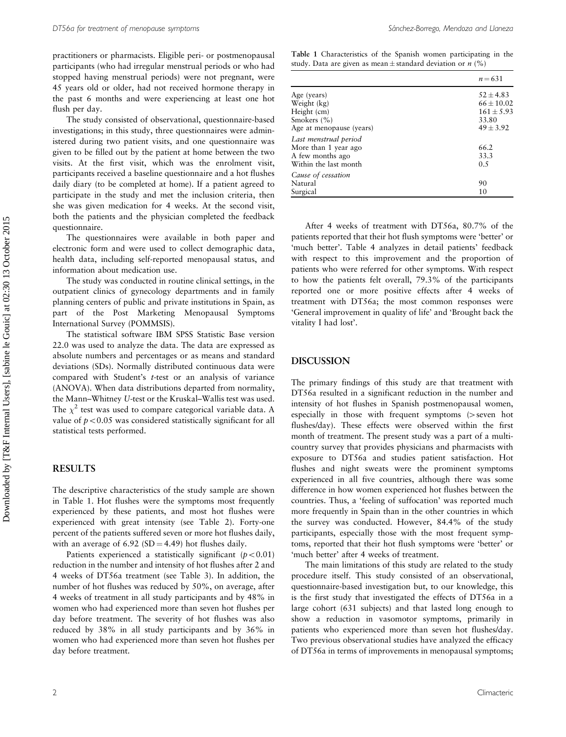practitioners or pharmacists. Eligible peri- or postmenopausal participants (who had irregular menstrual periods or who had stopped having menstrual periods) were not pregnant, were 45 years old or older, had not received hormone therapy in the past 6 months and were experiencing at least one hot flush per day.

The study consisted of observational, questionnaire-based investigations; in this study, three questionnaires were administered during two patient visits, and one questionnaire was given to be filled out by the patient at home between the two visits. At the first visit, which was the enrolment visit, participants received a baseline questionnaire and a hot flushes daily diary (to be completed at home). If a patient agreed to participate in the study and met the inclusion criteria, then she was given medication for 4 weeks. At the second visit, both the patients and the physician completed the feedback questionnaire.

The questionnaires were available in both paper and electronic form and were used to collect demographic data, health data, including self-reported menopausal status, and information about medication use.

The study was conducted in routine clinical settings, in the outpatient clinics of gynecology departments and in family planning centers of public and private institutions in Spain, as part of the Post Marketing Menopausal Symptoms International Survey (POMMSIS).

The statistical software IBM SPSS Statistic Base version 22.0 was used to analyze the data. The data are expressed as absolute numbers and percentages or as means and standard deviations (SDs). Normally distributed continuous data were compared with Student's t-test or an analysis of variance (ANOVA). When data distributions departed from normality, the Mann–Whitney U-test or the Kruskal–Wallis test was used. The  $\chi^2$  test was used to compare categorical variable data. A value of  $p < 0.05$  was considered statistically significant for all statistical tests performed.

#### RESULTS

The descriptive characteristics of the study sample are shown in Table 1. Hot flushes were the symptoms most frequently experienced by these patients, and most hot flushes were experienced with great intensity (see [Table 2](#page-3-0)). Forty-one percent of the patients suffered seven or more hot flushes daily, with an average of  $6.92$  (SD = 4.49) hot flushes daily.

Patients experienced a statistically significant ( $p<0.01$ ) reduction in the number and intensity of hot flushes after 2 and 4 weeks of DT56a treatment (see [Table 3\)](#page-3-0). In addition, the number of hot flushes was reduced by 50%, on average, after 4 weeks of treatment in all study participants and by 48% in women who had experienced more than seven hot flushes per day before treatment. The severity of hot flushes was also reduced by 38% in all study participants and by 36% in women who had experienced more than seven hot flushes per day before treatment.

Table 1 Characteristics of the Spanish women participating in the study. Data are given as mean $\pm$ standard deviation or n (%)

|                          | $n = 631$      |
|--------------------------|----------------|
| Age (years)              | $52 \pm 4.83$  |
| Weight (kg)              | $66 \pm 10.02$ |
| Height (cm)              | $161 \pm 5.93$ |
| Smokers (%)              | 33.80          |
| Age at menopause (years) | $49 \pm 3.92$  |
| Last menstrual period    |                |
| More than 1 year ago     | 66.2           |
| A few months ago         | 33.3           |
| Within the last month    | 0.5            |
| Cause of cessation       |                |
| Natural                  | 90             |
| Surgical                 | 10             |

After 4 weeks of treatment with DT56a, 80.7% of the patients reported that their hot flush symptoms were 'better' or 'much better'. [Table 4](#page-3-0) analyzes in detail patients' feedback with respect to this improvement and the proportion of patients who were referred for other symptoms. With respect to how the patients felt overall, 79.3% of the participants reported one or more positive effects after 4 weeks of treatment with DT56a; the most common responses were 'General improvement in quality of life' and 'Brought back the vitality I had lost'.

#### DISCUSSION

The primary findings of this study are that treatment with DT56a resulted in a significant reduction in the number and intensity of hot flushes in Spanish postmenopausal women, especially in those with frequent symptoms  $\triangleright$  seven hot flushes/day). These effects were observed within the first month of treatment. The present study was a part of a multicountry survey that provides physicians and pharmacists with exposure to DT56a and studies patient satisfaction. Hot flushes and night sweats were the prominent symptoms experienced in all five countries, although there was some difference in how women experienced hot flushes between the countries. Thus, a 'feeling of suffocation' was reported much more frequently in Spain than in the other countries in which the survey was conducted. However, 84.4% of the study participants, especially those with the most frequent symptoms, reported that their hot flush symptoms were 'better' or 'much better' after 4 weeks of treatment.

The main limitations of this study are related to the study procedure itself. This study consisted of an observational, questionnaire-based investigation but, to our knowledge, this is the first study that investigated the effects of DT56a in a large cohort (631 subjects) and that lasted long enough to show a reduction in vasomotor symptoms, primarily in patients who experienced more than seven hot flushes/day. Two previous observational studies have analyzed the efficacy of DT56a in terms of improvements in menopausal symptoms;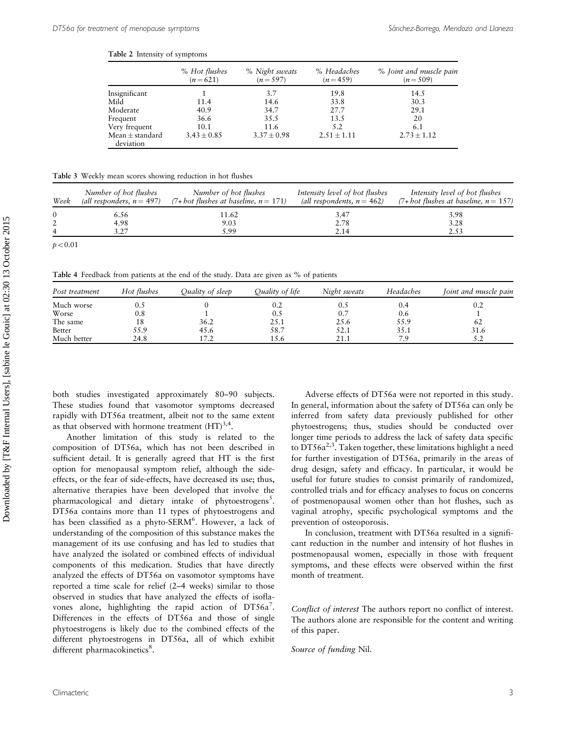<span id="page-3-0"></span>Table 2 Intensity of symptoms

|                                  | % Hot flushes<br>$(n=621)$ | % Night sweats<br>$(n=597)$ | % Headaches<br>$(n=459)$ | % Joint and muscle pain<br>$(n=509)$ |
|----------------------------------|----------------------------|-----------------------------|--------------------------|--------------------------------------|
| Insignificant                    |                            | 3.7                         | 19.8                     | 14.5                                 |
| Mild                             | 11.4                       | 14.6                        | 33.8                     | 30.3                                 |
| Moderate                         | 40.9                       | 34.7                        | 27.7                     | 29.1                                 |
| Frequent                         | 36.6                       | 35.5                        | 13.5                     | 20                                   |
| Very frequent                    | 10.1                       | 11.6                        | 5.2                      | 6.1                                  |
| Mean $\pm$ standard<br>deviation | $3.43 \pm 0.85$            | $3.37 \pm 0.98$             | $2.51 \pm 1.11$          | $2.73 \pm 1.12$                      |

|  |  | <b>Table 3</b> Weekly mean scores showing reduction in hot flushes |  |  |  |  |  |  |
|--|--|--------------------------------------------------------------------|--|--|--|--|--|--|
|--|--|--------------------------------------------------------------------|--|--|--|--|--|--|

| Week | Number of hot flushes<br>(all responders, $n = 497$ ) | Number of hot flushes<br>$(7 + hot$ flushes at baseline, $n = 171$ ) | Intensity level of hot flushes<br>(all respondents, $n = 462$ ) | Intensity level of hot flushes<br>$(7 + hot$ flushes at baseline, $n = 157$ ) |
|------|-------------------------------------------------------|----------------------------------------------------------------------|-----------------------------------------------------------------|-------------------------------------------------------------------------------|
|      | 6.56                                                  | 11.62                                                                | 3.47                                                            | 3.98                                                                          |
|      | 4.98                                                  | 9.03                                                                 | 2.78                                                            | 3.28                                                                          |
|      | 3 7 7                                                 | 5.99                                                                 | 2.14                                                            | 2.53                                                                          |
|      |                                                       |                                                                      |                                                                 |                                                                               |

 $p < 0.01$ 

Table 4 Feedback from patients at the end of the study. Data are given as % of patients

| Post treatment | Hot flushes | Ouality of sleep | Ouality of life | Night sweats | Headaches | Ioint and muscle pain |
|----------------|-------------|------------------|-----------------|--------------|-----------|-----------------------|
| Much worse     | U.S         |                  | 0.2             | U.S          | 0.4       | U.Z                   |
| Worse          | 0.8         |                  | 0.5             | 0.7          | 0.6       |                       |
| The same       | 18          | 36.2             | 25.1            | 25.6         | 55.9      | 62                    |
| Better         | 55.9        | 45.6             | 58.7            | 52.1         | 35.1      | 31.6                  |
| Much better    | 24.8        |                  | 15.6            | 21.1         | 79        | ے و                   |

both studies investigated approximately 80–90 subjects. These studies found that vasomotor symptoms decreased rapidly with DT56a treatment, albeit not to the same extent as that observed with hormone treatment  $(HT)^{3,4}$ .

Another limitation of this study is related to the composition of DT56a, which has not been described in sufficient detail. It is generally agreed that HT is the first option for menopausal symptom relief, although the sideeffects, or the fear of side-effects, have decreased its use; thus, alternative therapies have been developed that involve the pharmacological and dietary intake of phytoestrogens<sup>[5](#page-4-0)</sup>. DT56a contains more than 11 types of phytoestrogens and has been classified as a phyto-SERM<sup>6</sup>. However, a lack of understanding of the composition of this substance makes the management of its use confusing and has led to studies that have analyzed the isolated or combined effects of individual components of this medication. Studies that have directly analyzed the effects of DT56a on vasomotor symptoms have reported a time scale for relief (2–4 weeks) similar to those observed in studies that have analyzed the effects of isofla-vones alone, highlighting the rapid action of DT56a[7](#page-4-0). Differences in the effects of DT56a and those of single phytoestrogens is likely due to the combined effects of the different phytoestrogens in DT56a, all of which exhibit different pharmacokinetics<sup>[8](#page-4-0)</sup>.

Adverse effects of DT56a were not reported in this study. In general, information about the safety of DT56a can only be inferred from safety data previously published for other phytoestrogens; thus, studies should be conducted over longer time periods to address the lack of safety data specific to  $DT56a^{2,3}$  $DT56a^{2,3}$  $DT56a^{2,3}$ . Taken together, these limitations highlight a need for further investigation of DT56a, primarily in the areas of drug design, safety and efficacy. In particular, it would be useful for future studies to consist primarily of randomized, controlled trials and for efficacy analyses to focus on concerns of postmenopausal women other than hot flushes, such as vaginal atrophy, specific psychological symptoms and the prevention of osteoporosis.

In conclusion, treatment with DT56a resulted in a significant reduction in the number and intensity of hot flushes in postmenopausal women, especially in those with frequent symptoms, and these effects were observed within the first month of treatment.

Conflict of interest The authors report no conflict of interest. The authors alone are responsible for the content and writing of this paper.

Source of funding Nil.